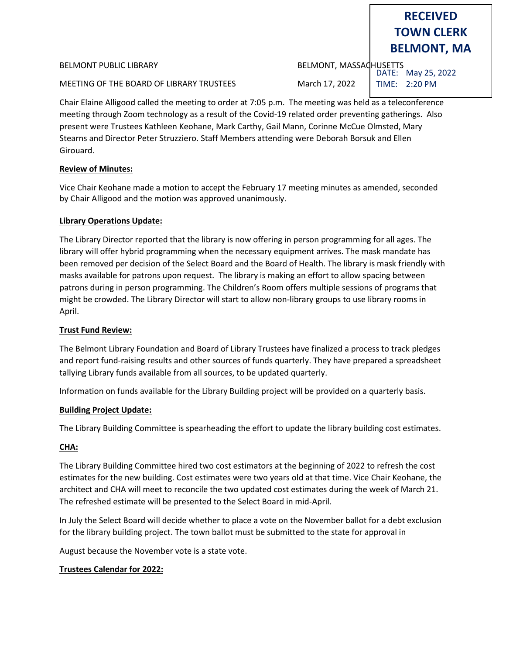BELMONT PUBLIC LIBRARY BELMONT, MASSACHUSETTS

MEETING OF THE BOARD OF LIBRARY TRUSTEES March 17, 2022

DATE: May 25, 2022 TIME: 2:20 PM

**RECEIVED TOWN CLERK**

**BELMONT, MA**

Chair Elaine Alligood called the meeting to order at 7:05 p.m. The meeting was held as a teleconference meeting through Zoom technology as a result of the Covid-19 related order preventing gatherings. Also present were Trustees Kathleen Keohane, Mark Carthy, Gail Mann, Corinne McCue Olmsted, Mary Stearns and Director Peter Struzziero. Staff Members attending were Deborah Borsuk and Ellen Girouard.

# **Review of Minutes:**

Vice Chair Keohane made a motion to accept the February 17 meeting minutes as amended, seconded by Chair Alligood and the motion was approved unanimously.

# **Library Operations Update:**

The Library Director reported that the library is now offering in person programming for all ages. The library will offer hybrid programming when the necessary equipment arrives. The mask mandate has been removed per decision of the Select Board and the Board of Health. The library is mask friendly with masks available for patrons upon request. The library is making an effort to allow spacing between patrons during in person programming. The Children's Room offers multiple sessions of programs that might be crowded. The Library Director will start to allow non-library groups to use library rooms in April.

## **Trust Fund Review:**

The Belmont Library Foundation and Board of Library Trustees have finalized a process to track pledges and report fund-raising results and other sources of funds quarterly. They have prepared a spreadsheet tallying Library funds available from all sources, to be updated quarterly.

Information on funds available for the Library Building project will be provided on a quarterly basis.

## **Building Project Update:**

The Library Building Committee is spearheading the effort to update the library building cost estimates.

## **CHA:**

The Library Building Committee hired two cost estimators at the beginning of 2022 to refresh the cost estimates for the new building. Cost estimates were two years old at that time. Vice Chair Keohane, the architect and CHA will meet to reconcile the two updated cost estimates during the week of March 21. The refreshed estimate will be presented to the Select Board in mid-April.

In July the Select Board will decide whether to place a vote on the November ballot for a debt exclusion for the library building project. The town ballot must be submitted to the state for approval in

August because the November vote is a state vote.

## **Trustees Calendar for 2022:**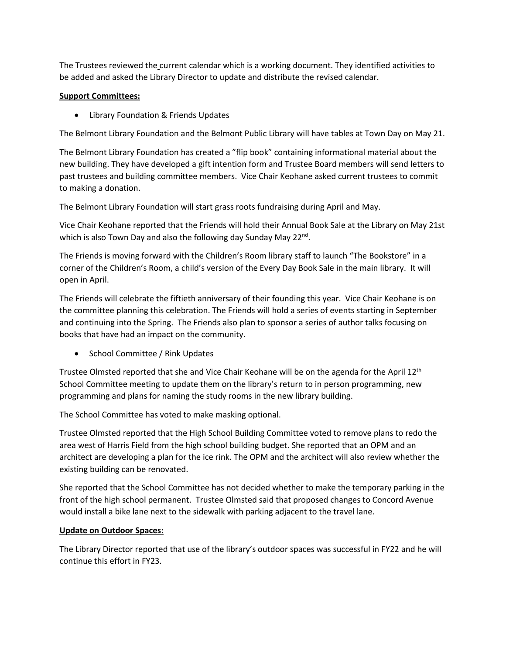The Trustees reviewed the current calendar which is a working document. They identified activities to be added and asked the Library Director to update and distribute the revised calendar.

# **Support Committees:**

• Library Foundation & Friends Updates

The Belmont Library Foundation and the Belmont Public Library will have tables at Town Day on May 21.

The Belmont Library Foundation has created a "flip book" containing informational material about the new building. They have developed a gift intention form and Trustee Board members will send letters to past trustees and building committee members. Vice Chair Keohane asked current trustees to commit to making a donation.

The Belmont Library Foundation will start grass roots fundraising during April and May.

Vice Chair Keohane reported that the Friends will hold their Annual Book Sale at the Library on May 21st which is also Town Day and also the following day Sunday May 22<sup>nd</sup>.

The Friends is moving forward with the Children's Room library staff to launch "The Bookstore" in a corner of the Children's Room, a child's version of the Every Day Book Sale in the main library. It will open in April.

The Friends will celebrate the fiftieth anniversary of their founding this year. Vice Chair Keohane is on the committee planning this celebration. The Friends will hold a series of events starting in September and continuing into the Spring. The Friends also plan to sponsor a series of author talks focusing on books that have had an impact on the community.

• School Committee / Rink Updates

Trustee Olmsted reported that she and Vice Chair Keohane will be on the agenda for the April 12<sup>th</sup> School Committee meeting to update them on the library's return to in person programming, new programming and plans for naming the study rooms in the new library building.

The School Committee has voted to make masking optional.

Trustee Olmsted reported that the High School Building Committee voted to remove plans to redo the area west of Harris Field from the high school building budget. She reported that an OPM and an architect are developing a plan for the ice rink. The OPM and the architect will also review whether the existing building can be renovated.

She reported that the School Committee has not decided whether to make the temporary parking in the front of the high school permanent. Trustee Olmsted said that proposed changes to Concord Avenue would install a bike lane next to the sidewalk with parking adjacent to the travel lane.

# **Update on Outdoor Spaces:**

The Library Director reported that use of the library's outdoor spaces was successful in FY22 and he will continue this effort in FY23.